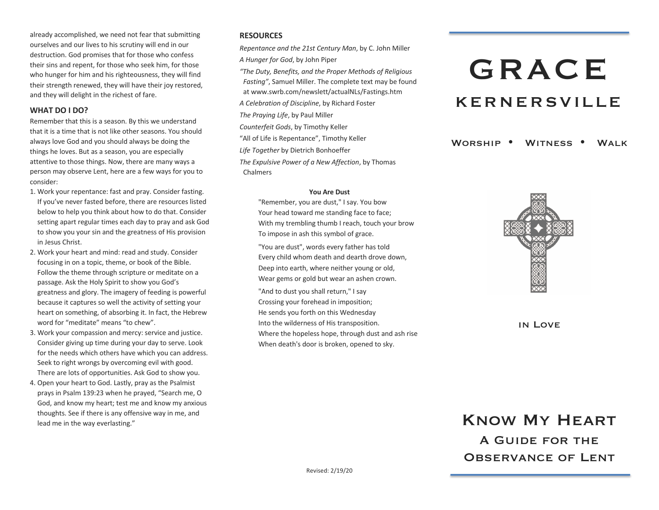already accomplished, we need not fear that submitting ourselves and our lives to his scrutiny will end in our destruction. God promises that for those who confess their sins and repent, for those who seek him, for those who hunger for him and his righteousness, they will find their strength renewed, they will have their joy restored, and they will delight in the richest of fare.

#### **WHAT DO I DO?**

Remember that this is a season. By this we understand that it is a time that is not like other seasons. You should always love God and you should always be doing the things he loves. But as a season, you are especially attentive to those things. Now, there are many ways a person may observe Lent, here are a few ways for you to consider:

- 1. Work your repentance: fast and pray. Consider fasting. If you've never fasted before, there are resources listed below to help you think about how to do that. Consider setting apart regular times each day to pray and ask God to show you your sin and the greatness of His provision in Jesus Christ.
- 2. Work your heart and mind: read and study. Consider focusing in on a topic, theme, or book of the Bible. Follow the theme through scripture or meditate on a passage. Ask the Holy Spirit to show you God's greatness and glory. The imagery of feeding is powerful because it captures so well the activity of setting your heart on something, of absorbing it. In fact, the Hebrew word for "meditate" means "to chew".
- 3. Work your compassion and mercy: service and justice. Consider giving up time during your day to serve. Look for the needs which others have which you can address. Seek to right wrongs by overcoming evil with good. There are lots of opportunities. Ask God to show you.
- 4. Open your heart to God. Lastly, pray as the Psalmist prays in Psalm 139:23 when he prayed, "Search me, O God, and know my heart; test me and know my anxious thoughts. See if there is any offensive way in me, and lead me in the way everlasting."

#### **RESOURCES**

*Repentance and the 21st Century Man*, by C. John Miller *A Hunger for God*, by John Piper

*"The Duty, Benefits, and the Proper Methods of Religious Fasting"*, Samuel Miller. The complete text may be found at www.swrb.com/newslett/actualNLs/Fastings.htm

*A Celebration of Discipline*, by Richard Foster *The Praying Life*, by Paul Miller

*Counterfeit Gods*, by Timothy Keller

"All of Life is Repentance", Timothy Keller

*Life Together* by Dietrich Bonhoeffer

*The Expulsive Power of a New Affection*, by Thomas Chalmers

#### **You Are Dust**

"Remember, you are dust," I say. You bow Your head toward me standing face to face; With my trembling thumb I reach, touch your brow To impose in ash this symbol of grace.

"You are dust", words every father has told Every child whom death and dearth drove down, Deep into earth, where neither young or old, Wear gems or gold but wear an ashen crown.

"And to dust you shall return," I say Crossing your forehead in imposition; He sends you forth on this Wednesday Into the wilderness of His transposition. Where the hopeless hope, through dust and ash rise When death's door is broken, opened to sky.

# GRACE KERNERSVILLE

WORSHIP . WITNESS . WALK



in Love

## Know My Heart A Guide for the OBSERVANCE OF LENT